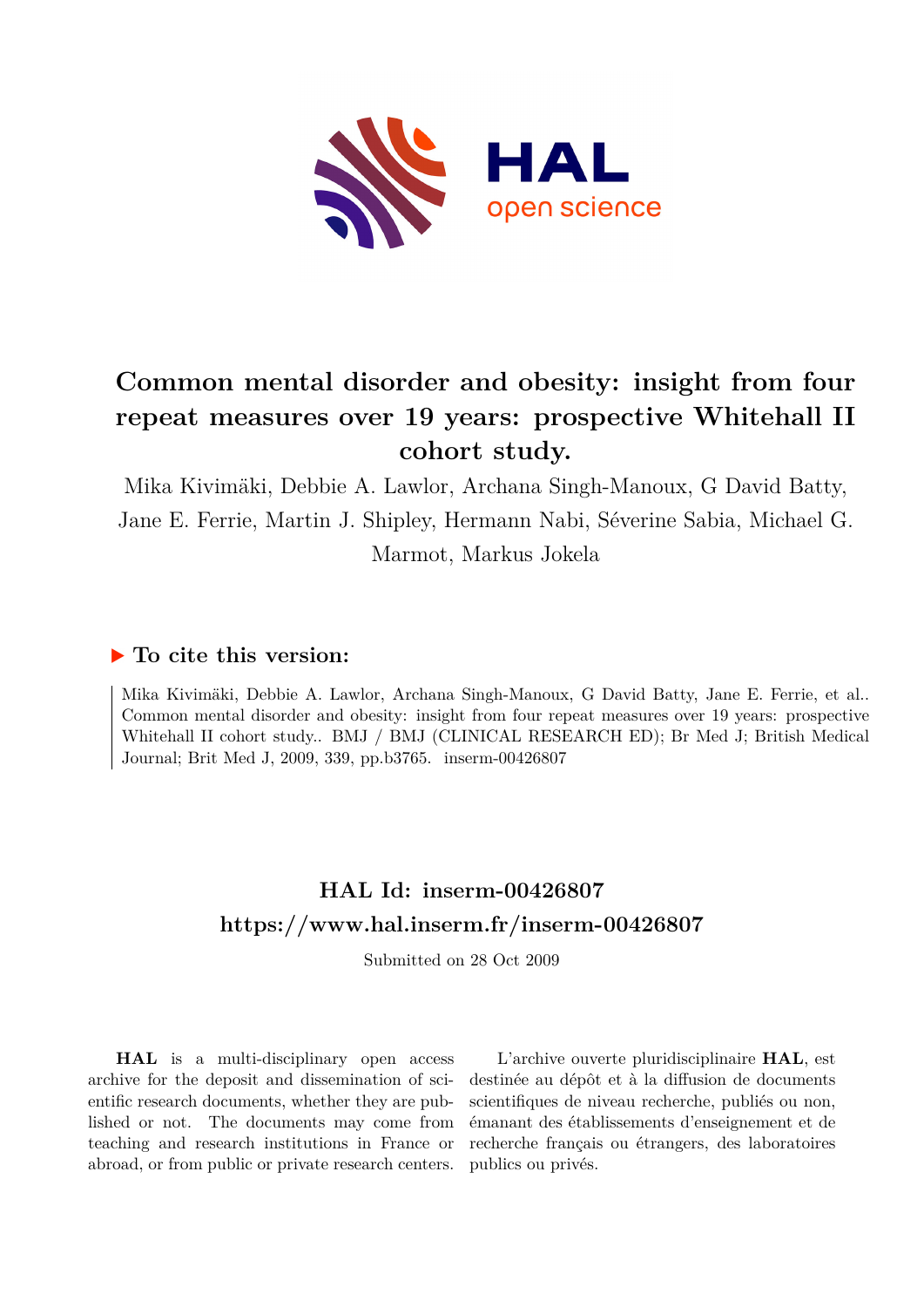

# **Common mental disorder and obesity: insight from four repeat measures over 19 years: prospective Whitehall II cohort study.**

Mika Kivimäki, Debbie A. Lawlor, Archana Singh-Manoux, G David Batty, Jane E. Ferrie, Martin J. Shipley, Hermann Nabi, Séverine Sabia, Michael G. Marmot, Markus Jokela

### **To cite this version:**

Mika Kivimäki, Debbie A. Lawlor, Archana Singh-Manoux, G David Batty, Jane E. Ferrie, et al.. Common mental disorder and obesity: insight from four repeat measures over 19 years: prospective Whitehall II cohort study.. BMJ / BMJ (CLINICAL RESEARCH ED); Br Med J; British Medical Journal; Brit Med J, 2009, 339, pp.b3765. inserm-00426807

## **HAL Id: inserm-00426807 <https://www.hal.inserm.fr/inserm-00426807>**

Submitted on 28 Oct 2009

**HAL** is a multi-disciplinary open access archive for the deposit and dissemination of scientific research documents, whether they are published or not. The documents may come from teaching and research institutions in France or abroad, or from public or private research centers.

L'archive ouverte pluridisciplinaire **HAL**, est destinée au dépôt et à la diffusion de documents scientifiques de niveau recherche, publiés ou non, émanant des établissements d'enseignement et de recherche français ou étrangers, des laboratoires publics ou privés.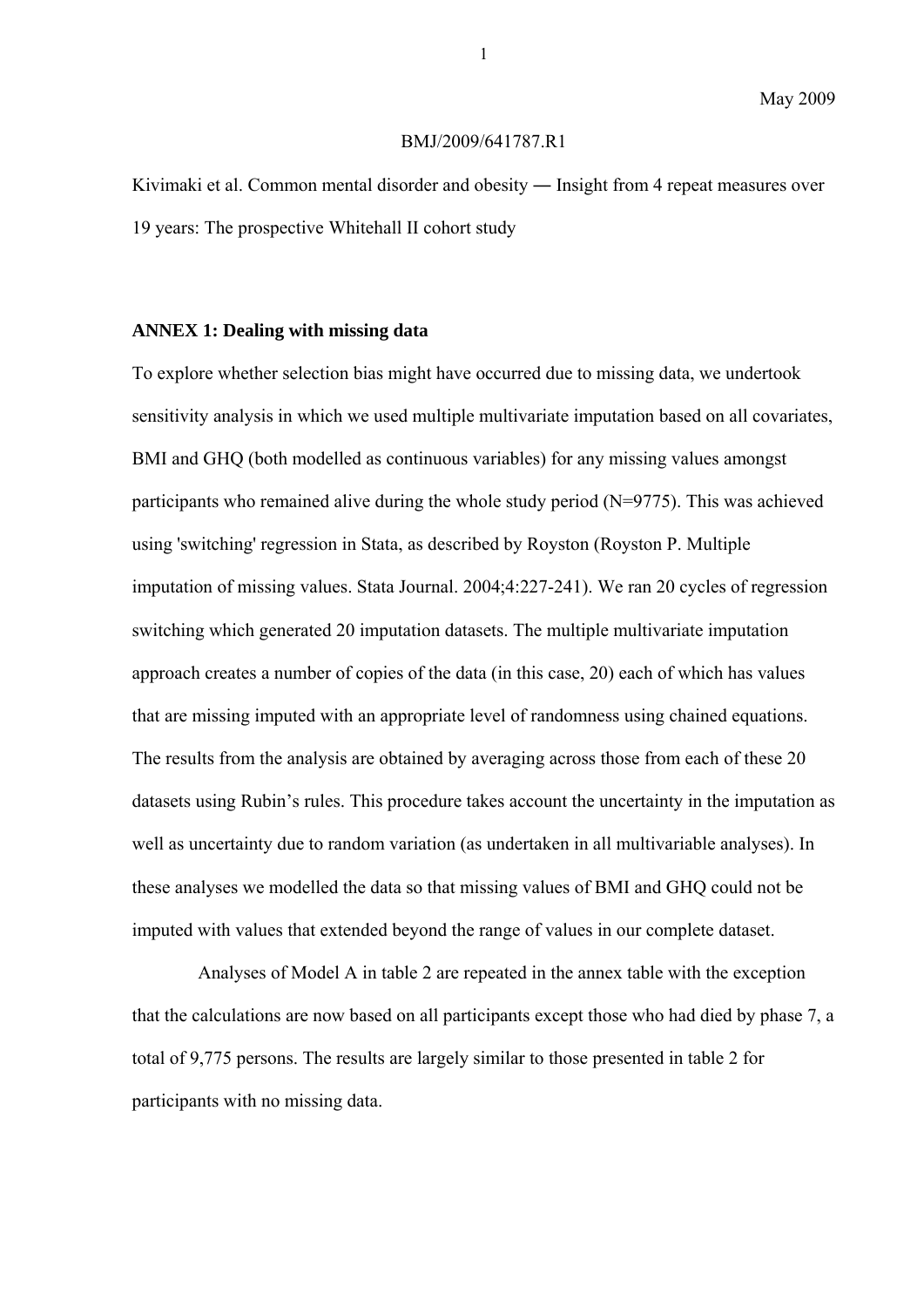#### BMJ/2009/641787.R1

Kivimaki et al. Common mental disorder and obesity ― Insight from 4 repeat measures over 19 years: The prospective Whitehall II cohort study

### **ANNEX 1: Dealing with missing data**

To explore whether selection bias might have occurred due to missing data, we undertook sensitivity analysis in which we used multiple multivariate imputation based on all covariates, BMI and GHQ (both modelled as continuous variables) for any missing values amongst participants who remained alive during the whole study period (N=9775). This was achieved using 'switching' regression in Stata, as described by Royston (Royston P. Multiple imputation of missing values. Stata Journal. 2004;4:227-241). We ran 20 cycles of regression switching which generated 20 imputation datasets. The multiple multivariate imputation approach creates a number of copies of the data (in this case, 20) each of which has values that are missing imputed with an appropriate level of randomness using chained equations. The results from the analysis are obtained by averaging across those from each of these 20 datasets using Rubin's rules. This procedure takes account the uncertainty in the imputation as well as uncertainty due to random variation (as undertaken in all multivariable analyses). In these analyses we modelled the data so that missing values of BMI and GHQ could not be imputed with values that extended beyond the range of values in our complete dataset.

Analyses of Model A in table 2 are repeated in the annex table with the exception that the calculations are now based on all participants except those who had died by phase 7, a total of 9,775 persons. The results are largely similar to those presented in table 2 for participants with no missing data.

1